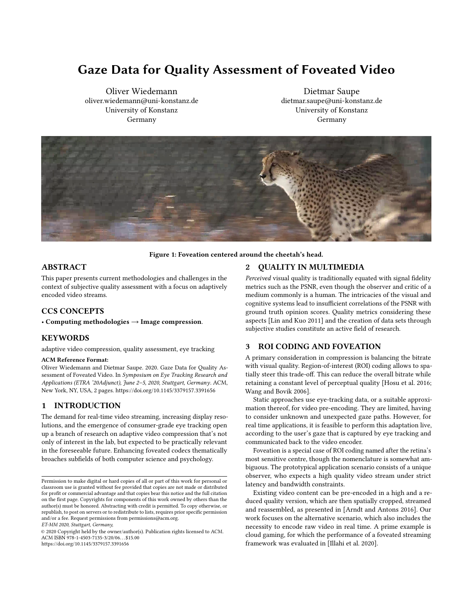# Gaze Data for Quality Assessment of Foveated Video

Oliver Wiedemann oliver.wiedemann@uni-konstanz.de University of Konstanz Germany

Dietmar Saupe dietmar.saupe@uni-konstanz.de University of Konstanz Germany

<span id="page-0-0"></span>

Figure 1: Foveation centered around the cheetah's head.

# ABSTRACT

This paper presents current methodologies and challenges in the context of subjective quality assessment with a focus on adaptively encoded video streams.

# CCS CONCEPTS

• Computing methodologies  $\rightarrow$  Image compression.

## KEYWORDS

adaptive video compression, quality assessment, eye tracking

### ACM Reference Format:

Oliver Wiedemann and Dietmar Saupe. 2020. Gaze Data for Quality Assessment of Foveated Video. In Symposium on Eye Tracking Research and Applications (ETRA '20Adjunct), June 2–5, 2020, Stuttgart, Germany. ACM, New York, NY, USA, [2](#page-1-0) pages.<https://doi.org/10.1145/3379157.3391656>

# 1 INTRODUCTION

The demand for real-time video streaming, increasing display resolutions, and the emergence of consumer-grade eye tracking open up a branch of research on adaptive video compression that's not only of interest in the lab, but expected to be practically relevant in the foreseeable future. Enhancing foveated codecs thematically broaches subfields of both computer science and psychology.

ET-MM 2020, Stuttgart, Germany,

© 2020 Copyright held by the owner/author(s). Publication rights licensed to ACM. ACM ISBN 978-1-4503-7135-3/20/06. . . \$15.00 <https://doi.org/10.1145/3379157.3391656>

# 2 QUALITY IN MULTIMEDIA

Perceived visual quality is traditionally equated with signal fidelity metrics such as the PSNR, even though the observer and critic of a medium commonly is a human. The intricacies of the visual and cognitive systems lead to insufficient correlations of the PSNR with ground truth opinion scores. Quality metrics considering these aspects [\[Lin and Kuo 2011\]](#page-1-1) and the creation of data sets through subjective studies constitute an active field of research.

## 3 ROI CODING AND FOVEATION

A primary consideration in compression is balancing the bitrate with visual quality. Region-of-interest (ROI) coding allows to spatially steer this trade-off. This can reduce the overall bitrate while retaining a constant level of perceptual quality [\[Hosu et al.](#page-1-2) [2016;](#page-1-2) [Wang and Bovik 2006\]](#page-1-3).

Static approaches use eye-tracking data, or a suitable approximation thereof, for video pre-encoding. They are limited, having to consider unknown and unexpected gaze paths. However, for real time applications, it is feasible to perform this adaptation live, according to the user's gaze that is captured by eye tracking and communicated back to the video encoder.

Foveation is a special case of ROI coding named after the retina's most sensitive centre, though the nomenclature is somewhat ambiguous. The prototypical application scenario consists of a unique observer, who expects a high quality video stream under strict latency and bandwidth constraints.

Existing video content can be pre-encoded in a high and a reduced quality version, which are then spatially cropped, streamed and reassembled, as presented in [\[Arndt and Antons 2016\]](#page-1-4). Our work focuses on the alternative scenario, which also includes the necessity to encode raw video in real time. A prime example is cloud gaming, for which the performance of a foveated streaming framework was evaluated in [\[Illahi et al. 2020\]](#page-1-5).

Permission to make digital or hard copies of all or part of this work for personal or classroom use is granted without fee provided that copies are not made or distributed for profit or commercial advantage and that copies bear this notice and the full citation on the first page. Copyrights for components of this work owned by others than the author(s) must be honored. Abstracting with credit is permitted. To copy otherwise, or republish, to post on servers or to redistribute to lists, requires prior specific permission and/or a fee. Request permissions from permissions@acm.org.